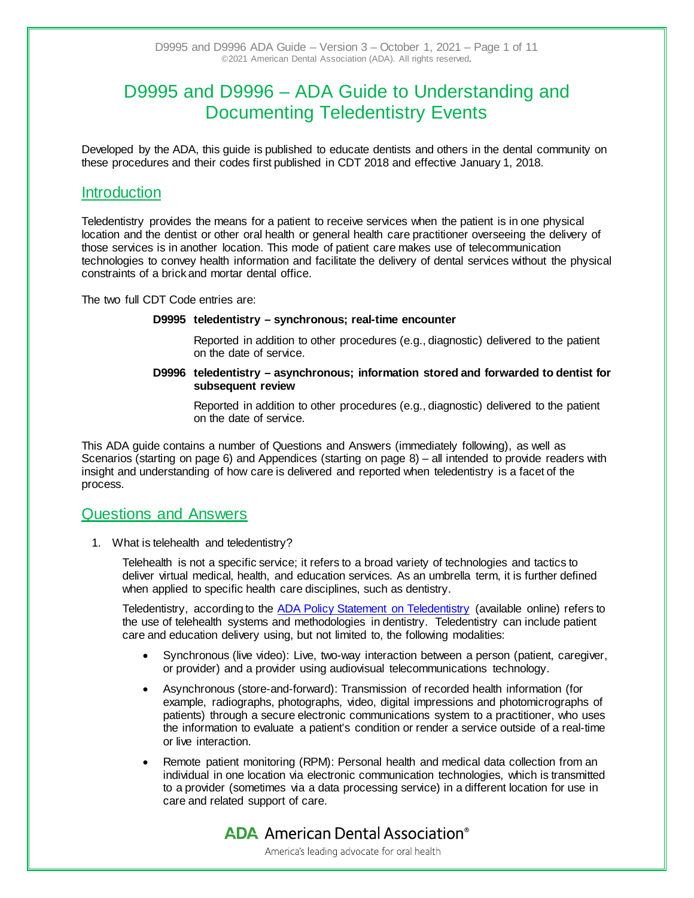# D9995 and D9996 – ADA Guide to Understanding and Documenting Teledentistry Events

Developed by the ADA, this guide is published to educate dentists and others in the dental community on these procedures and their codes first published in CDT 2018 and effective January 1, 2018.

### **Introduction**

Teledentistry provides the means for a patient to receive services when the patient is in one physical location and the dentist or other oral health or general health care practitioner overseeing the delivery of those services is in another location. This mode of patient care makes use of telecommunication technologies to convey health information and facilitate the delivery of dental services without the physical constraints of a brick and mortar dental office.

The two full CDT Code entries are:

### **D9995 teledentistry – synchronous; real-time encounter**

Reported in addition to other procedures (e.g., diagnostic) delivered to the patient on the date of service.

### **D9996 teledentistry – asynchronous; information stored and forwarded to dentist for subsequent review**

Reported in addition to other procedures (e.g., diagnostic) delivered to the patient on the date of service.

This ADA guide contains a number of Questions and Answers (immediately following), as well as Scenarios (starting on page 6) and Appendices (starting on page 8) – all intended to provide readers with insight and understanding of how care is delivered and reported when teledentistry is a facet of the process.

### Questions and Answers

1. What is telehealth and teledentistry?

Telehealth is not a specific service; it refers to a broad variety of technologies and tactics to deliver virtual medical, health, and education services. As an umbrella term, it is further defined when applied to specific health care disciplines, such as dentistry.

Teledentistry, according to the [ADA Policy Statement on Teledentistry](https://www.ada.org/en/about-the-ada/ada-positions-policies-and-statements/statement-on-teledentistry) (available online) refers to the use of telehealth systems and methodologies in dentistry. Teledentistry can include patient care and education delivery using, but not limited to, the following modalities:

- Synchronous (live video): Live, two-way interaction between a person (patient, caregiver, or provider) and a provider using audiovisual telecommunications technology.
- Asynchronous (store-and-forward): Transmission of recorded health information (for example, radiographs, photographs, video, digital impressions and photomicrographs of patients) through a secure electronic communications system to a practitioner, who uses the information to evaluate a patient's condition or render a service outside of a real-time or live interaction.
- Remote patient monitoring (RPM): Personal health and medical data collection from an individual in one location via electronic communication technologies, which is transmitted to a provider (sometimes via a data processing service) in a different location for use in care and related support of care.

# **ADA** American Dental Association<sup>®</sup>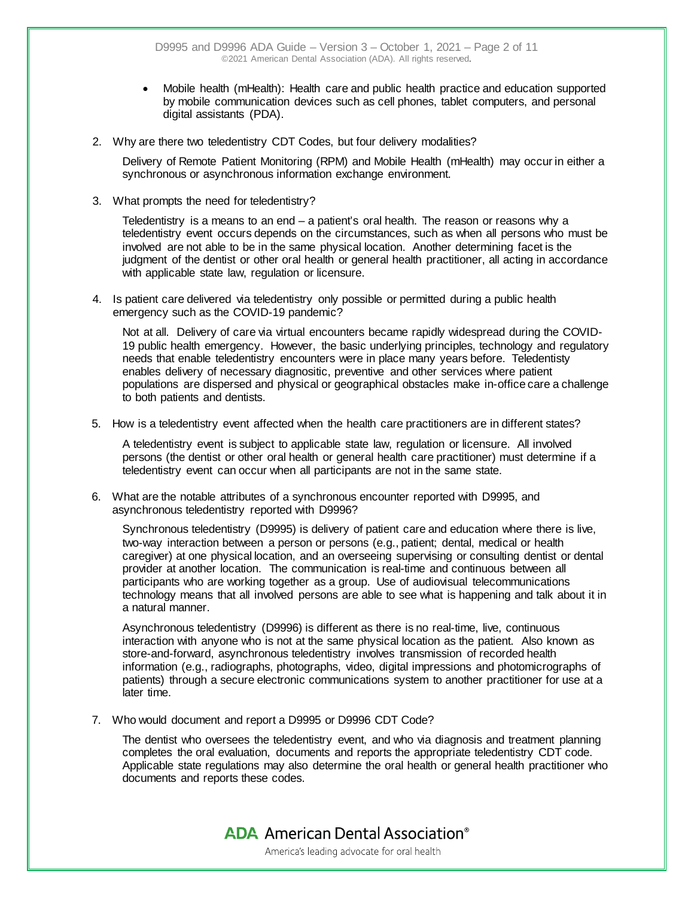- Mobile health (mHealth): Health care and public health practice and education supported by mobile communication devices such as cell phones, tablet computers, and personal digital assistants (PDA).
- 2. Why are there two teledentistry CDT Codes, but four delivery modalities?

Delivery of Remote Patient Monitoring (RPM) and Mobile Health (mHealth) may occur in either a synchronous or asynchronous information exchange environment.

3. What prompts the need for teledentistry?

Teledentistry is a means to an end – a patient's oral health. The reason or reasons why a teledentistry event occurs depends on the circumstances, such as when all persons who must be involved are not able to be in the same physical location. Another determining facet is the judgment of the dentist or other oral health or general health practitioner, all acting in accordance with applicable state law, regulation or licensure.

4. Is patient care delivered via teledentistry only possible or permitted during a public health emergency such as the COVID-19 pandemic?

Not at all. Delivery of care via virtual encounters became rapidly widespread during the COVID-19 public health emergency. However, the basic underlying principles, technology and regulatory needs that enable teledentistry encounters were in place many years before. Teledentisty enables delivery of necessary diagnositic, preventive and other services where patient populations are dispersed and physical or geographical obstacles make in-office care a challenge to both patients and dentists.

5. How is a teledentistry event affected when the health care practitioners are in different states?

A teledentistry event is subject to applicable state law, regulation or licensure. All involved persons (the dentist or other oral health or general health care practitioner) must determine if a teledentistry event can occur when all participants are not in the same state.

6. What are the notable attributes of a synchronous encounter reported with D9995, and asynchronous teledentistry reported with D9996?

Synchronous teledentistry (D9995) is delivery of patient care and education where there is live, two-way interaction between a person or persons (e.g., patient; dental, medical or health caregiver) at one physical location, and an overseeing supervising or consulting dentist or dental provider at another location. The communication is real-time and continuous between all participants who are working together as a group. Use of audiovisual telecommunications technology means that all involved persons are able to see what is happening and talk about it in a natural manner.

Asynchronous teledentistry (D9996) is different as there is no real-time, live, continuous interaction with anyone who is not at the same physical location as the patient. Also known as store-and-forward, asynchronous teledentistry involves transmission of recorded health information (e.g., radiographs, photographs, video, digital impressions and photomicrographs of patients) through a secure electronic communications system to another practitioner for use at a later time.

7. Who would document and report a D9995 or D9996 CDT Code?

The dentist who oversees the teledentistry event, and who via diagnosis and treatment planning completes the oral evaluation, documents and reports the appropriate teledentistry CDT code. Applicable state regulations may also determine the oral health or general health practitioner who documents and reports these codes.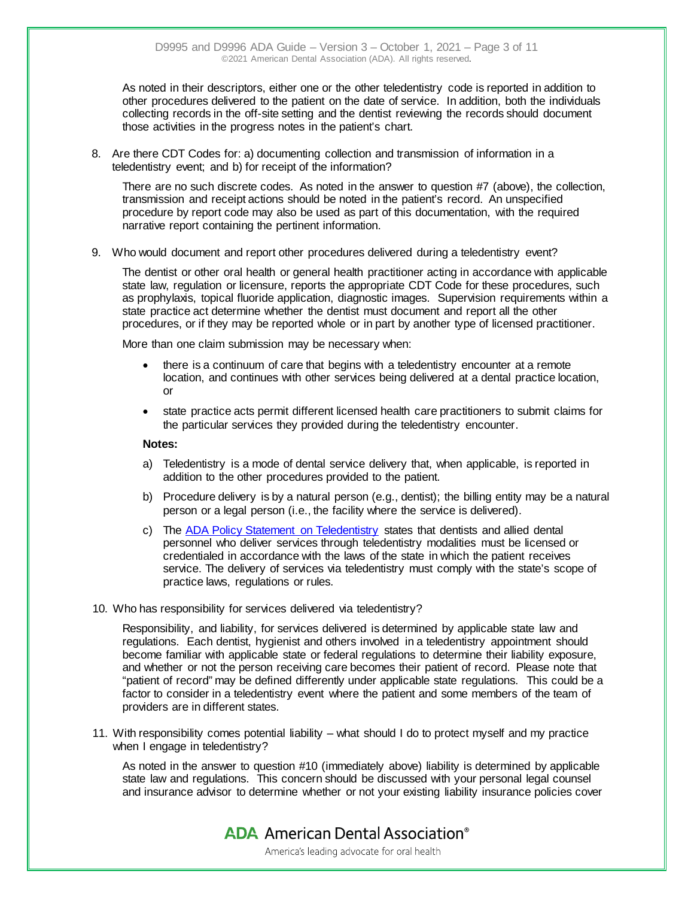As noted in their descriptors, either one or the other teledentistry code is reported in addition to other procedures delivered to the patient on the date of service. In addition, both the individuals collecting records in the off-site setting and the dentist reviewing the records should document those activities in the progress notes in the patient's chart.

8. Are there CDT Codes for: a) documenting collection and transmission of information in a teledentistry event; and b) for receipt of the information?

There are no such discrete codes. As noted in the answer to question #7 (above), the collection, transmission and receipt actions should be noted in the patient's record. An unspecified procedure by report code may also be used as part of this documentation, with the required narrative report containing the pertinent information.

9. Who would document and report other procedures delivered during a teledentistry event?

The dentist or other oral health or general health practitioner acting in accordance with applicable state law, regulation or licensure, reports the appropriate CDT Code for these procedures, such as prophylaxis, topical fluoride application, diagnostic images. Supervision requirements within a state practice act determine whether the dentist must document and report all the other procedures, or if they may be reported whole or in part by another type of licensed practitioner.

More than one claim submission may be necessary when:

- there is a continuum of care that begins with a teledentistry encounter at a remote location, and continues with other services being delivered at a dental practice location, or
- state practice acts permit different licensed health care practitioners to submit claims for the particular services they provided during the teledentistry encounter.

#### **Notes:**

- a) Teledentistry is a mode of dental service delivery that, when applicable, is reported in addition to the other procedures provided to the patient.
- b) Procedure delivery is by a natural person (e.g., dentist); the billing entity may be a natural person or a legal person (i.e., the facility where the service is delivered).
- c) The [ADA Policy Statement on Teledentistry](https://www.ada.org/en/about-the-ada/ada-positions-policies-and-statements/statement-on-teledentistry) states that dentists and allied dental personnel who deliver services through teledentistry modalities must be licensed or credentialed in accordance with the laws of the state in which the patient receives service. The delivery of services via teledentistry must comply with the state's scope of practice laws, regulations or rules.
- 10. Who has responsibility for services delivered via teledentistry?

Responsibility, and liability, for services delivered is determined by applicable state law and regulations. Each dentist, hygienist and others involved in a teledentistry appointment should become familiar with applicable state or federal regulations to determine their liability exposure, and whether or not the person receiving care becomes their patient of record. Please note that "patient of record" may be defined differently under applicable state regulations. This could be a factor to consider in a teledentistry event where the patient and some members of the team of providers are in different states.

11. With responsibility comes potential liability – what should I do to protect myself and my practice when I engage in teledentistry?

As noted in the answer to question #10 (immediately above) liability is determined by applicable state law and regulations. This concern should be discussed with your personal legal counsel and insurance advisor to determine whether or not your existing liability insurance policies cover

**ADA** American Dental Association<sup>®</sup>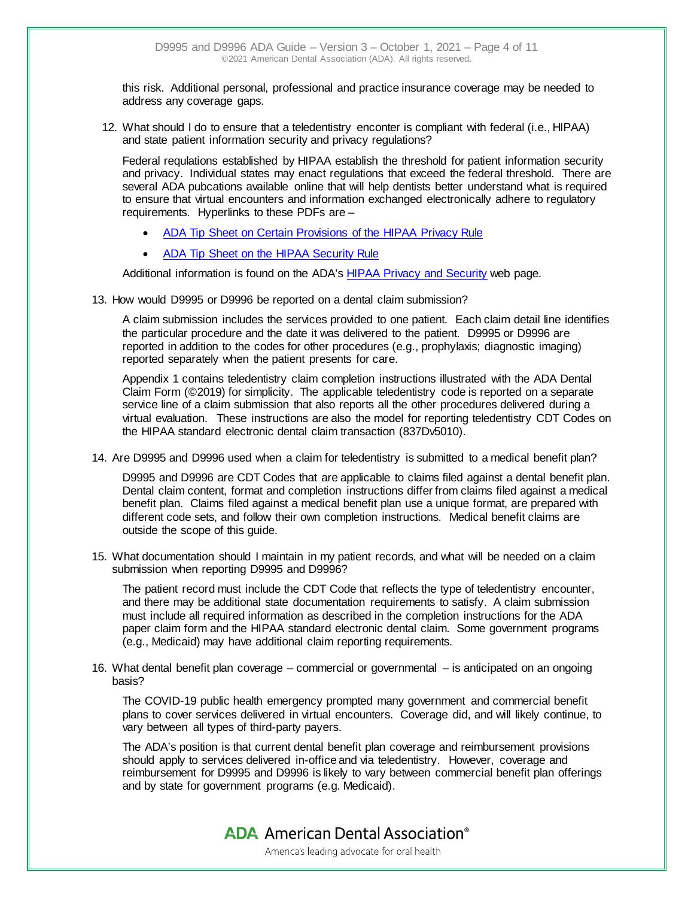this risk. Additional personal, professional and practice insurance coverage may be needed to address any coverage gaps.

12. What should I do to ensure that a teledentistry enconter is compliant with federal (i.e., HIPAA) and state patient information security and privacy regulations?

Federal requlations established by HIPAA establish the threshold for patient information security and privacy. Individual states may enact regulations that exceed the federal threshold. There are several ADA pubcations available online that will help dentists better understand what is required to ensure that virtual encounters and information exchanged electronically adhere to regulatory requirements. Hyperlinks to these PDFs are –

- [ADA Tip Sheet on Certain Provisions of the HIPAA Privacy Rule](https://www.ada.org/%7E/media/CPS/Files/Guidelines%20for%20Practice%20Success/GPS%20Regulatory/HIPAA%20Privacy%20Rule%20Tip%20Sheet.pdf)
- [ADA Tip Sheet on the HIPAA Security Rule](http://www.ada.org/%7E/media/CPS/Files/Guidelines%20for%20Practice%20Success/GPS%20Regulatory/HIPAA%20Security%20Rule%20Tip%20Sheet.pdf)

Additional information is found on the ADA's [HIPAA Privacy and Security](https://www.ada.org/en/member-center/member-benefits/practice-resources/dental-informatics/electronic-health-records/health-system-reform-resources/hipaa-privacy-security) web page.

13. How would D9995 or D9996 be reported on a dental claim submission?

A claim submission includes the services provided to one patient. Each claim detail line identifies the particular procedure and the date it was delivered to the patient. D9995 or D9996 are reported in addition to the codes for other procedures (e.g., prophylaxis; diagnostic imaging) reported separately when the patient presents for care.

Appendix 1 contains teledentistry claim completion instructions illustrated with the ADA Dental Claim Form (©2019) for simplicity. The applicable teledentistry code is reported on a separate service line of a claim submission that also reports all the other procedures delivered during a virtual evaluation. These instructions are also the model for reporting teledentistry CDT Codes on the HIPAA standard electronic dental claim transaction (837Dv5010).

14. Are D9995 and D9996 used when a claim for teledentistry is submitted to a medical benefit plan?

D9995 and D9996 are CDT Codes that are applicable to claims filed against a dental benefit plan. Dental claim content, format and completion instructions differ from claims filed against a medical benefit plan. Claims filed against a medical benefit plan use a unique format, are prepared with different code sets, and follow their own completion instructions. Medical benefit claims are outside the scope of this guide.

15. What documentation should I maintain in my patient records, and what will be needed on a claim submission when reporting D9995 and D9996?

The patient record must include the CDT Code that reflects the type of teledentistry encounter, and there may be additional state documentation requirements to satisfy. A claim submission must include all required information as described in the completion instructions for the ADA paper claim form and the HIPAA standard electronic dental claim. Some government programs (e.g., Medicaid) may have additional claim reporting requirements.

16. What dental benefit plan coverage – commercial or governmental – is anticipated on an ongoing basis?

The COVID-19 public health emergency prompted many government and commercial benefit plans to cover services delivered in virtual encounters. Coverage did, and will likely continue, to vary between all types of third-party payers.

The ADA's position is that current dental benefit plan coverage and reimbursement provisions should apply to services delivered in-office and via teledentistry. However, coverage and reimbursement for D9995 and D9996 is likely to vary between commercial benefit plan offerings and by state for government programs (e.g. Medicaid).

**ADA** American Dental Association<sup>®</sup>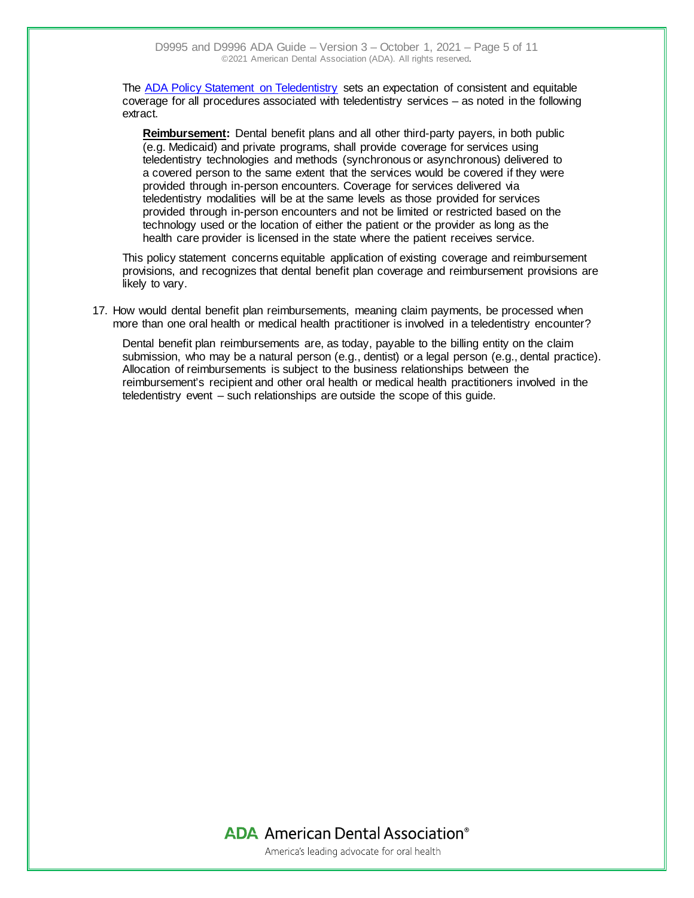The [ADA Policy Statement on Teledentistry](https://www.ada.org/en/about-the-ada/ada-positions-policies-and-statements/statement-on-teledentistry) sets an expectation of consistent and equitable coverage for all procedures associated with teledentistry services – as noted in the following extract.

**Reimbursement:** Dental benefit plans and all other third-party payers, in both public (e.g. Medicaid) and private programs, shall provide coverage for services using teledentistry technologies and methods (synchronous or asynchronous) delivered to a covered person to the same extent that the services would be covered if they were provided through in-person encounters. Coverage for services delivered via teledentistry modalities will be at the same levels as those provided for services provided through in-person encounters and not be limited or restricted based on the technology used or the location of either the patient or the provider as long as the health care provider is licensed in the state where the patient receives service.

This policy statement concerns equitable application of existing coverage and reimbursement provisions, and recognizes that dental benefit plan coverage and reimbursement provisions are likely to vary.

17. How would dental benefit plan reimbursements, meaning claim payments, be processed when more than one oral health or medical health practitioner is involved in a teledentistry encounter?

Dental benefit plan reimbursements are, as today, payable to the billing entity on the claim submission, who may be a natural person (e.g., dentist) or a legal person (e.g., dental practice). Allocation of reimbursements is subject to the business relationships between the reimbursement's recipient and other oral health or medical health practitioners involved in the teledentistry event – such relationships are outside the scope of this guide.

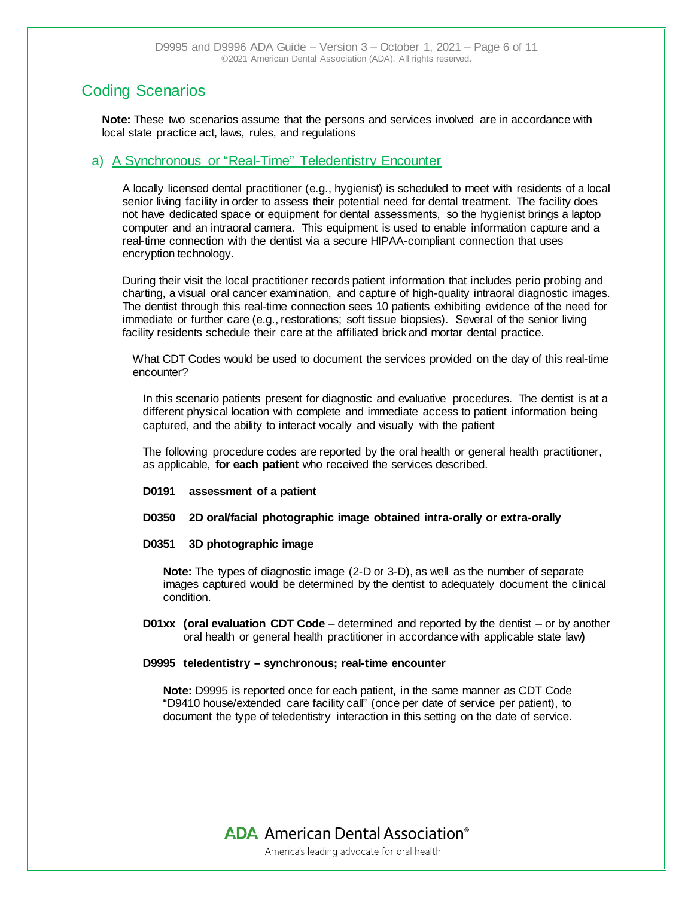### Coding Scenarios

**Note:** These two scenarios assume that the persons and services involved are in accordance with local state practice act, laws, rules, and regulations

### a) A Synchronous or "Real-Time" Teledentistry Encounter

A locally licensed dental practitioner (e.g., hygienist) is scheduled to meet with residents of a local senior living facility in order to assess their potential need for dental treatment. The facility does not have dedicated space or equipment for dental assessments, so the hygienist brings a laptop computer and an intraoral camera. This equipment is used to enable information capture and a real-time connection with the dentist via a secure HIPAA-compliant connection that uses encryption technology.

During their visit the local practitioner records patient information that includes perio probing and charting, a visual oral cancer examination, and capture of high-quality intraoral diagnostic images. The dentist through this real-time connection sees 10 patients exhibiting evidence of the need for immediate or further care (e.g., restorations; soft tissue biopsies). Several of the senior living facility residents schedule their care at the affiliated brick and mortar dental practice.

What CDT Codes would be used to document the services provided on the day of this real-time encounter?

In this scenario patients present for diagnostic and evaluative procedures. The dentist is at a different physical location with complete and immediate access to patient information being captured, and the ability to interact vocally and visually with the patient

The following procedure codes are reported by the oral health or general health practitioner, as applicable, **for each patient** who received the services described.

- **D0191 assessment of a patient**
- **D0350 2D oral/facial photographic image obtained intra-orally or extra-orally**

#### **D0351 3D photographic image**

**Note:** The types of diagnostic image (2-D or 3-D), as well as the number of separate images captured would be determined by the dentist to adequately document the clinical condition.

**D01xx (oral evaluation CDT Code** – determined and reported by the dentist – or by another oral health or general health practitioner in accordance with applicable state law**)**

#### **D9995 teledentistry – synchronous; real-time encounter**

**Note:** D9995 is reported once for each patient, in the same manner as CDT Code "D9410 house/extended care facility call" (once per date of service per patient), to document the type of teledentistry interaction in this setting on the date of service.

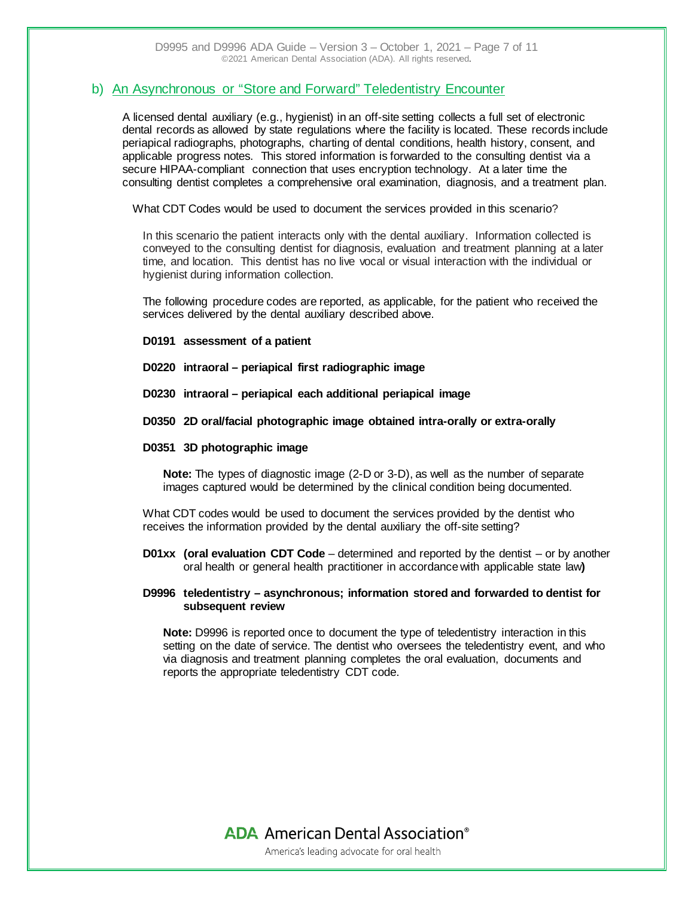### b) An Asynchronous or "Store and Forward" Teledentistry Encounter

A licensed dental auxiliary (e.g., hygienist) in an off-site setting collects a full set of electronic dental records as allowed by state regulations where the facility is located. These records include periapical radiographs, photographs, charting of dental conditions, health history, consent, and applicable progress notes. This stored information is forwarded to the consulting dentist via a secure HIPAA-compliant connection that uses encryption technology. At a later time the consulting dentist completes a comprehensive oral examination, diagnosis, and a treatment plan.

What CDT Codes would be used to document the services provided in this scenario?

In this scenario the patient interacts only with the dental auxiliary. Information collected is conveyed to the consulting dentist for diagnosis, evaluation and treatment planning at a later time, and location. This dentist has no live vocal or visual interaction with the individual or hygienist during information collection.

The following procedure codes are reported, as applicable, for the patient who received the services delivered by the dental auxiliary described above.

- **D0191 assessment of a patient**
- **D0220 intraoral – periapical first radiographic image**
- **D0230 intraoral – periapical each additional periapical image**
- **D0350 2D oral/facial photographic image obtained intra-orally or extra-orally**
- **D0351 3D photographic image**

**Note:** The types of diagnostic image (2-D or 3-D), as well as the number of separate images captured would be determined by the clinical condition being documented.

What CDT codes would be used to document the services provided by the dentist who receives the information provided by the dental auxiliary the off-site setting?

**D01xx (oral evaluation CDT Code** – determined and reported by the dentist – or by another oral health or general health practitioner in accordance with applicable state law**)**

### **D9996 teledentistry – asynchronous; information stored and forwarded to dentist for subsequent review**

**Note:** D9996 is reported once to document the type of teledentistry interaction in this setting on the date of service. The dentist who oversees the teledentistry event, and who via diagnosis and treatment planning completes the oral evaluation, documents and reports the appropriate teledentistry CDT code.

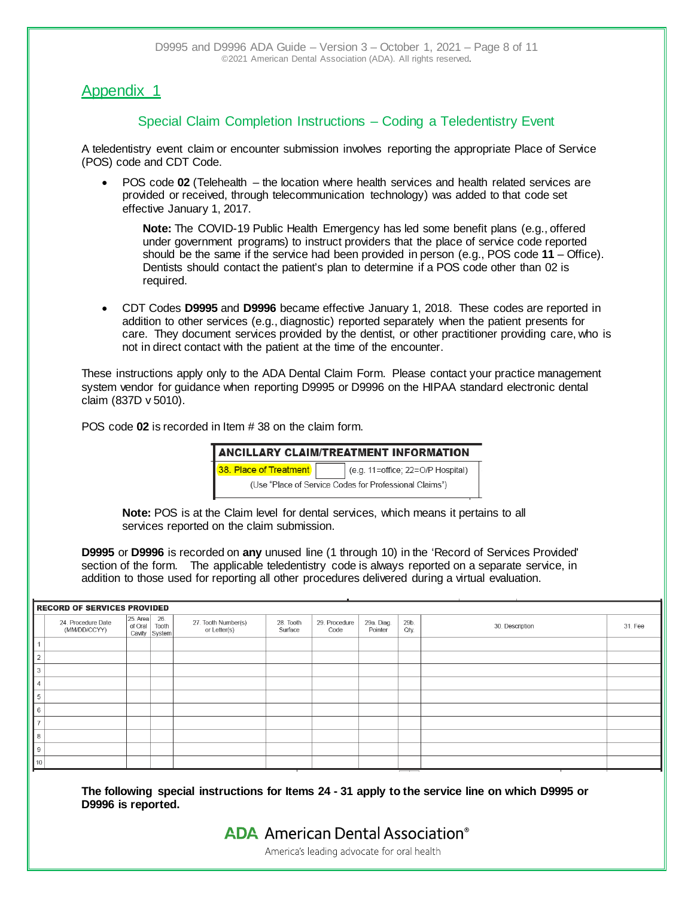### Appendix 1

### Special Claim Completion Instructions – Coding a Teledentistry Event

A teledentistry event claim or encounter submission involves reporting the appropriate Place of Service (POS) code and CDT Code.

• POS code **02** (Telehealth – the location where health services and health related services are provided or received, through telecommunication technology) was added to that code set effective January 1, 2017.

**Note:** The COVID-19 Public Health Emergency has led some benefit plans (e.g., offered under government programs) to instruct providers that the place of service code reported should be the same if the service had been provided in person (e.g., POS code **11** – Office). Dentists should contact the patient's plan to determine if a POS code other than 02 is required.

• CDT Codes **D9995** and **D9996** became effective January 1, 2018. These codes are reported in addition to other services (e.g., diagnostic) reported separately when the patient presents for care. They document services provided by the dentist, or other practitioner providing care, who is not in direct contact with the patient at the time of the encounter.

These instructions apply only to the ADA Dental Claim Form. Please contact your practice management system vendor for guidance when reporting D9995 or D9996 on the HIPAA standard electronic dental claim (837D v 5010).

POS code **02** is recorded in Item # 38 on the claim form.

|                                                        | <b>ANCILLARY CLAIM/TREATMENT INFORMATION</b> |  |  |  |  |  |  |
|--------------------------------------------------------|----------------------------------------------|--|--|--|--|--|--|
| 38. Place of Treatment                                 | (e.g. 11=office; 22=O/P Hospital)            |  |  |  |  |  |  |
| (Use "Place of Service Codes for Professional Claims") |                                              |  |  |  |  |  |  |

**Note:** POS is at the Claim level for dental services, which means it pertains to all services reported on the claim submission.

**D9995** or **D9996** is recorded on **any** unused line (1 through 10) in the 'Record of Services Provided' section of the form. The applicable teledentistry code is always reported on a separate service, in addition to those used for reporting all other procedures delivered during a virtual evaluation.

|    | <b>RECORD OF SERVICES PROVIDED</b> |                         |                        |                                     |                      |                       |                       |              |                            |  |
|----|------------------------------------|-------------------------|------------------------|-------------------------------------|----------------------|-----------------------|-----------------------|--------------|----------------------------|--|
|    | 24. Procedure Date<br>(MM/DD/CCYY) | 25. Area 26.<br>of Oral | Tooth<br>Cavity System | 27. Tooth Number(s)<br>or Letter(s) | 28. Tooth<br>Surface | 29. Procedure<br>Code | 29a. Diag.<br>Pointer | 29b.<br>Qty. | 30. Description<br>31. Fee |  |
|    |                                    |                         |                        |                                     |                      |                       |                       |              |                            |  |
| ∽  |                                    |                         |                        |                                     |                      |                       |                       |              |                            |  |
| 3  |                                    |                         |                        |                                     |                      |                       |                       |              |                            |  |
|    |                                    |                         |                        |                                     |                      |                       |                       |              |                            |  |
| 5  |                                    |                         |                        |                                     |                      |                       |                       |              |                            |  |
| 6  |                                    |                         |                        |                                     |                      |                       |                       |              |                            |  |
|    |                                    |                         |                        |                                     |                      |                       |                       |              |                            |  |
| 8  |                                    |                         |                        |                                     |                      |                       |                       |              |                            |  |
| 9  |                                    |                         |                        |                                     |                      |                       |                       |              |                            |  |
| 10 |                                    |                         |                        |                                     |                      |                       |                       |              |                            |  |

**The following special instructions for Items 24 - 31 apply to the service line on which D9995 or D9996 is reported.**

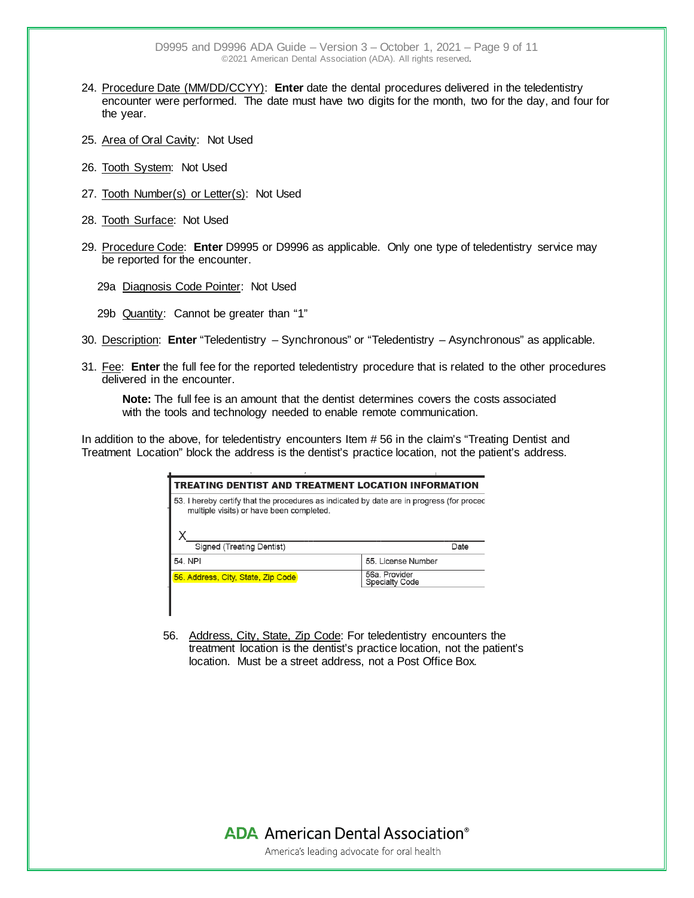D9995 and D9996 ADA Guide – Version 3 – October 1, 2021 – Page 9 of 11 ©2021 American Dental Association (ADA). All rights reserved.

- 24. Procedure Date (MM/DD/CCYY): **Enter** date the dental procedures delivered in the teledentistry encounter were performed. The date must have two digits for the month, two for the day, and four for the year.
- 25. Area of Oral Cavity: Not Used
- 26. Tooth System: Not Used
- 27. Tooth Number(s) or Letter(s): Not Used
- 28. Tooth Surface: Not Used
- 29. Procedure Code: **Enter** D9995 or D9996 as applicable. Only one type of teledentistry service may be reported for the encounter.
	- 29a Diagnosis Code Pointer: Not Used
	- 29b Quantity: Cannot be greater than "1"

L

- 30. Description: **Enter** "Teledentistry Synchronous" or "Teledentistry Asynchronous" as applicable.
- 31. Fee: **Enter** the full fee for the reported teledentistry procedure that is related to the other procedures delivered in the encounter.

**Note:** The full fee is an amount that the dentist determines covers the costs associated with the tools and technology needed to enable remote communication.

In addition to the above, for teledentistry encounters Item #56 in the claim's "Treating Dentist and Treatment Location" block the address is the dentist's practice location, not the patient's address.

| TREATING DENTIST AND TREATMENT LOCATION INFORMATION                                                                                   |      |  |  |  |  |  |  |  |
|---------------------------------------------------------------------------------------------------------------------------------------|------|--|--|--|--|--|--|--|
| 53. I hereby certify that the procedures as indicated by date are in progress (for proced<br>multiple visits) or have been completed. |      |  |  |  |  |  |  |  |
|                                                                                                                                       |      |  |  |  |  |  |  |  |
|                                                                                                                                       | Date |  |  |  |  |  |  |  |
| 55. License Number                                                                                                                    |      |  |  |  |  |  |  |  |
| 56a. Provider<br><b>Specialty Code</b>                                                                                                |      |  |  |  |  |  |  |  |
|                                                                                                                                       |      |  |  |  |  |  |  |  |

56. Address, City, State, Zip Code: For teledentistry encounters the treatment location is the dentist's practice location, not the patient's location. Must be a street address, not a Post Office Box.

> **ADA** American Dental Association<sup>®</sup> America's leading advocate for oral health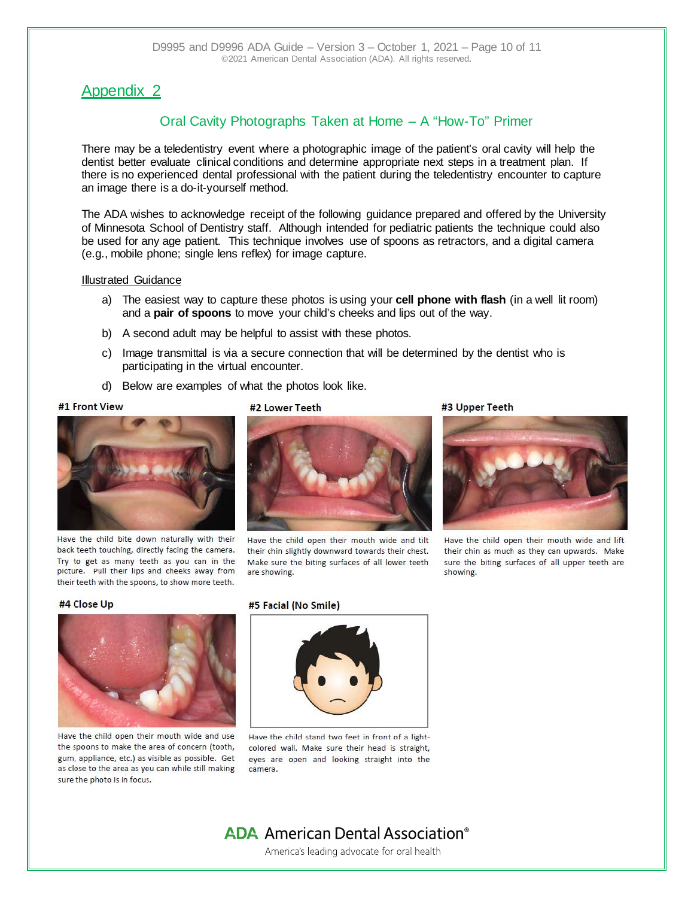### Appendix 2

### Oral Cavity Photographs Taken at Home – A "How-To" Primer

There may be a teledentistry event where a photographic image of the patient's oral cavity will help the dentist better evaluate clinical conditions and determine appropriate next steps in a treatment plan. If there is no experienced dental professional with the patient during the teledentistry encounter to capture an image there is a do-it-yourself method.

The ADA wishes to acknowledge receipt of the following guidance prepared and offered by the University of Minnesota School of Dentistry staff. Although intended for pediatric patients the technique could also be used for any age patient. This technique involves use of spoons as retractors, and a digital camera (e.g., mobile phone; single lens reflex) for image capture.

#### Illustrated Guidance

- a) The easiest way to capture these photos is using your **cell phone with flash** (in a well lit room) and a **pair of spoons** to move your child's cheeks and lips out of the way.
- b) A second adult may be helpful to assist with these photos.

#2 Lower Teeth

- c) Image transmittal is via a secure connection that will be determined by the dentist who is participating in the virtual encounter.
- d) Below are examples of what the photos look like.

#### #1 Front View



Have the child bite down naturally with their back teeth touching, directly facing the camera. Try to get as many teeth as you can in the picture. Pull their lips and cheeks away from their teeth with the spoons, to show more teeth.



Have the child open their mouth wide and tilt their chin slightly downward towards their chest. Make sure the biting surfaces of all lower teeth are showing.

#3 Upper Teeth



Have the child open their mouth wide and lift their chin as much as they can upwards. Make sure the biting surfaces of all upper teeth are showing.

#### #4 Close Up



Have the child open their mouth wide and use the spoons to make the area of concern (tooth, gum, appliance, etc.) as visible as possible. Get as close to the area as you can while still making sure the photo is in focus.

#### #5 Facial (No Smile)



Have the child stand two feet in front of a lightcolored wall. Make sure their head is straight, eyes are open and looking straight into the camera.

## **ADA** American Dental Association<sup>®</sup>